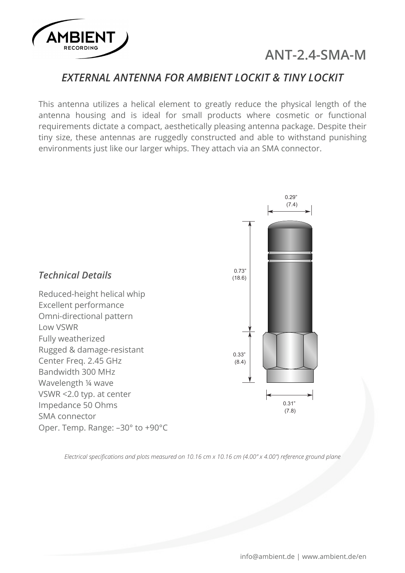

# **ANT-2.4-SMA-M**

### *EXTERNAL ANTENNA FOR AMBIENT LOCKIT & TINY LOCKIT*

This antenna utilizes a helical element to greatly reduce the physical length of the antenna housing and is ideal for small products where cosmetic or functional requirements dictate a compact, aesthetically pleasing antenna package. Despite their tiny size, these antennas are ruggedly constructed and able to withstand punishing environments just like our larger whips. They attach via an SMA connector.



*Electrical specifications and plots measured on 10.16 cm x 10.16 cm (4.00" x 4.00") reference ground plane*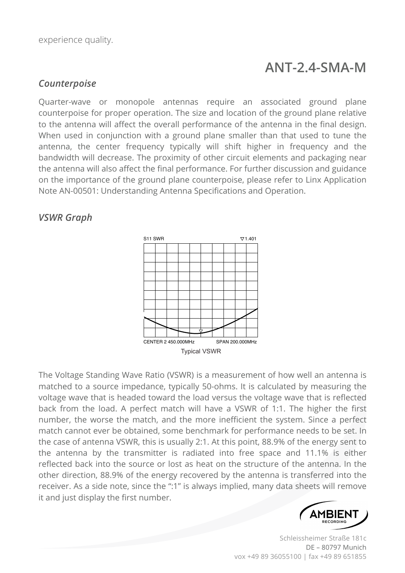# **ANT-2.4-SMA-M**

### *Counterpoise*

Quarter-wave or monopole antennas require an associated ground plane counterpoise for proper operation. The size and location of the ground plane relative to the antenna will affect the overall performance of the antenna in the final design. When used in conjunction with a ground plane smaller than that used to tune the antenna, the center frequency typically will shift higher in frequency and the bandwidth will decrease. The proximity of other circuit elements and packaging near the antenna will also affect the final performance. For further discussion and guidance on the importance of the ground plane counterpoise, please refer to Linx Application Note AN-00501: Understanding Antenna Specifications and Operation.

#### *VSWR Graph*



The Voltage Standing Wave Ratio (VSWR) is a measurement of how well an antenna is matched to a source impedance, typically 50-ohms. It is calculated by measuring the voltage wave that is headed toward the load versus the voltage wave that is reflected back from the load. A perfect match will have a VSWR of 1:1. The higher the first number, the worse the match, and the more inefficient the system. Since a perfect match cannot ever be obtained, some benchmark for performance needs to be set. In the case of antenna VSWR, this is usually 2:1. At this point, 88.9% of the energy sent to the antenna by the transmitter is radiated into free space and 11.1% is either reflected back into the source or lost as heat on the structure of the antenna. In the other direction, 88.9% of the energy recovered by the antenna is transferred into the receiver. As a side note, since the ":1" is always implied, many data sheets will remove it and just display the first number.



Schleissheimer Straße 181c DE – 80797 Munich vox +49 89 36055100 | fax +49 89 651855